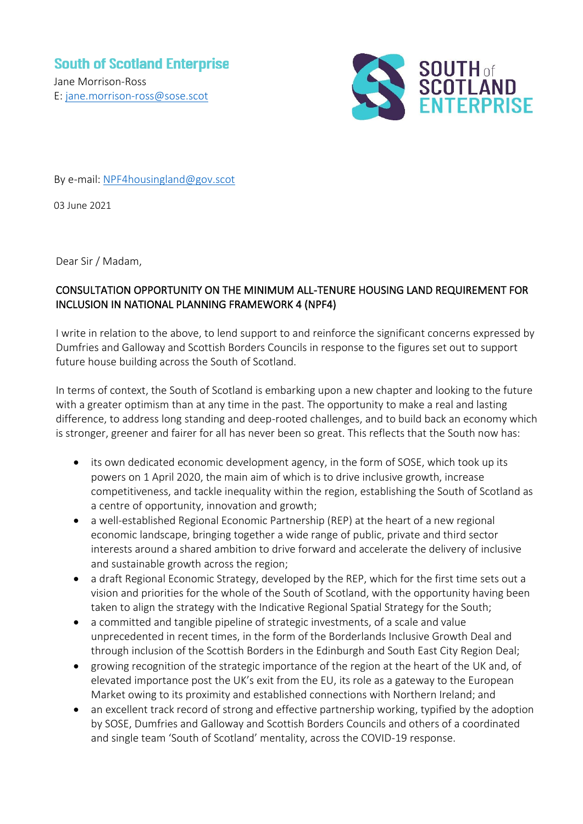## **South of Scotland Enterprise**

Jane Morrison-Ross E: [jane.morrison-ross@sose.scot](mailto:jane.morrison-ross@sose.scot)



By e-mail: [NPF4housingland@gov.scot](mailto:NPF4housingland@gov.scot)

03 June 2021

Dear Sir / Madam,

## CONSULTATION OPPORTUNITY ON THE MINIMUM ALL-TENURE HOUSING LAND REQUIREMENT FOR INCLUSION IN NATIONAL PLANNING FRAMEWORK 4 (NPF4)

I write in relation to the above, to lend support to and reinforce the significant concerns expressed by Dumfries and Galloway and Scottish Borders Councils in response to the figures set out to support future house building across the South of Scotland.

In terms of context, the South of Scotland is embarking upon a new chapter and looking to the future with a greater optimism than at any time in the past. The opportunity to make a real and lasting difference, to address long standing and deep-rooted challenges, and to build back an economy which is stronger, greener and fairer for all has never been so great. This reflects that the South now has:

- its own dedicated economic development agency, in the form of SOSE, which took up its powers on 1 April 2020, the main aim of which is to drive inclusive growth, increase competitiveness, and tackle inequality within the region, establishing the South of Scotland as a centre of opportunity, innovation and growth;
- a well-established Regional Economic Partnership (REP) at the heart of a new regional economic landscape, bringing together a wide range of public, private and third sector interests around a shared ambition to drive forward and accelerate the delivery of inclusive and sustainable growth across the region;
- a draft Regional Economic Strategy, developed by the REP, which for the first time sets out a vision and priorities for the whole of the South of Scotland, with the opportunity having been taken to align the strategy with the Indicative Regional Spatial Strategy for the South;
- a committed and tangible pipeline of strategic investments, of a scale and value unprecedented in recent times, in the form of the Borderlands Inclusive Growth Deal and through inclusion of the Scottish Borders in the Edinburgh and South East City Region Deal;
- growing recognition of the strategic importance of the region at the heart of the UK and, of elevated importance post the UK's exit from the EU, its role as a gateway to the European Market owing to its proximity and established connections with Northern Ireland; and
- an excellent track record of strong and effective partnership working, typified by the adoption by SOSE, Dumfries and Galloway and Scottish Borders Councils and others of a coordinated and single team 'South of Scotland' mentality, across the COVID-19 response.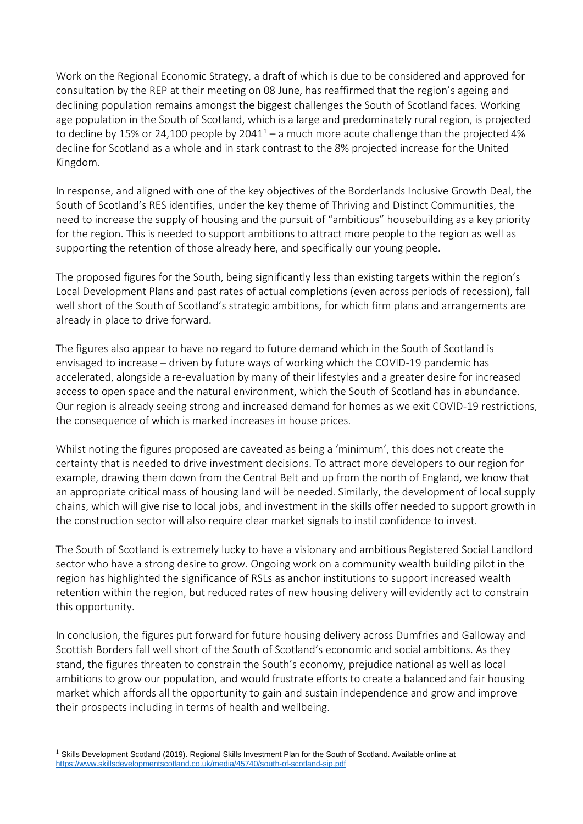Work on the Regional Economic Strategy, a draft of which is due to be considered and approved for consultation by the REP at their meeting on 08 June, has reaffirmed that the region's ageing and declining population remains amongst the biggest challenges the South of Scotland faces. Working age population in the South of Scotland, which is a large and predominately rural region, is projected to decline by 15% or 24,100 people by 2041<sup>1</sup> – a much more acute challenge than the projected 4% decline for Scotland as a whole and in stark contrast to the 8% projected increase for the United Kingdom.

In response, and aligned with one of the key objectives of the Borderlands Inclusive Growth Deal, the South of Scotland's RES identifies, under the key theme of Thriving and Distinct Communities, the need to increase the supply of housing and the pursuit of "ambitious" housebuilding as a key priority for the region. This is needed to support ambitions to attract more people to the region as well as supporting the retention of those already here, and specifically our young people.

The proposed figures for the South, being significantly less than existing targets within the region's Local Development Plans and past rates of actual completions (even across periods of recession), fall well short of the South of Scotland's strategic ambitions, for which firm plans and arrangements are already in place to drive forward.

The figures also appear to have no regard to future demand which in the South of Scotland is envisaged to increase – driven by future ways of working which the COVID-19 pandemic has accelerated, alongside a re-evaluation by many of their lifestyles and a greater desire for increased access to open space and the natural environment, which the South of Scotland has in abundance. Our region is already seeing strong and increased demand for homes as we exit COVID-19 restrictions, the consequence of which is marked increases in house prices.

Whilst noting the figures proposed are caveated as being a 'minimum', this does not create the certainty that is needed to drive investment decisions. To attract more developers to our region for example, drawing them down from the Central Belt and up from the north of England, we know that an appropriate critical mass of housing land will be needed. Similarly, the development of local supply chains, which will give rise to local jobs, and investment in the skills offer needed to support growth in the construction sector will also require clear market signals to instil confidence to invest.

The South of Scotland is extremely lucky to have a visionary and ambitious Registered Social Landlord sector who have a strong desire to grow. Ongoing work on a community wealth building pilot in the region has highlighted the significance of RSLs as anchor institutions to support increased wealth retention within the region, but reduced rates of new housing delivery will evidently act to constrain this opportunity.

In conclusion, the figures put forward for future housing delivery across Dumfries and Galloway and Scottish Borders fall well short of the South of Scotland's economic and social ambitions. As they stand, the figures threaten to constrain the South's economy, prejudice national as well as local ambitions to grow our population, and would frustrate efforts to create a balanced and fair housing market which affords all the opportunity to gain and sustain independence and grow and improve their prospects including in terms of health and wellbeing.

 $<sup>1</sup>$  Skills Development Scotland (2019). Regional Skills Investment Plan for the South of Scotland. Available online at</sup> <https://www.skillsdevelopmentscotland.co.uk/media/45740/south-of-scotland-sip.pdf>